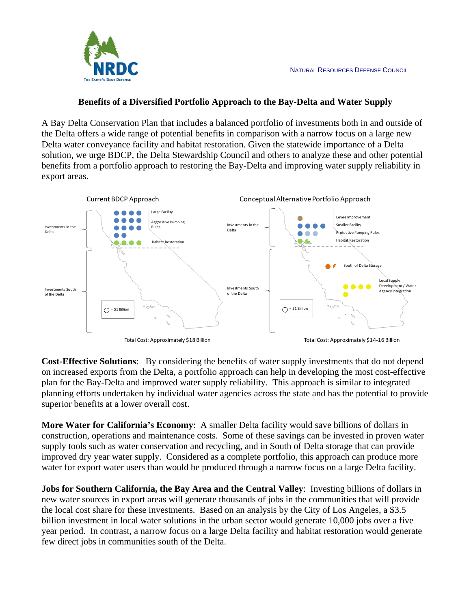

## **Benefits of a Diversified Portfolio Approach to the Bay-Delta and Water Supply**

A Bay Delta Conservation Plan that includes a balanced portfolio of investments both in and outside of the Delta offers a wide range of potential benefits in comparison with a narrow focus on a large new Delta water conveyance facility and habitat restoration. Given the statewide importance of a Delta solution, we urge BDCP, the Delta Stewardship Council and others to analyze these and other potential benefits from a portfolio approach to restoring the Bay-Delta and improving water supply reliability in export areas.



**Cost-Effective Solutions**: By considering the benefits of water supply investments that do not depend on increased exports from the Delta, a portfolio approach can help in developing the most cost-effective plan for the Bay-Delta and improved water supply reliability. This approach is similar to integrated planning efforts undertaken by individual water agencies across the state and has the potential to provide superior benefits at a lower overall cost.

**More Water for California's Economy**: A smaller Delta facility would save billions of dollars in construction, operations and maintenance costs. Some of these savings can be invested in proven water supply tools such as water conservation and recycling, and in South of Delta storage that can provide improved dry year water supply. Considered as a complete portfolio, this approach can produce more water for export water users than would be produced through a narrow focus on a large Delta facility.

**Jobs for Southern California, the Bay Area and the Central Valley**: Investing billions of dollars in new water sources in export areas will generate thousands of jobs in the communities that will provide the local cost share for these investments. Based on an analysis by the City of Los Angeles, a \$3.5 billion investment in local water solutions in the urban sector would generate 10,000 jobs over a five year period. In contrast, a narrow focus on a large Delta facility and habitat restoration would generate few direct jobs in communities south of the Delta.